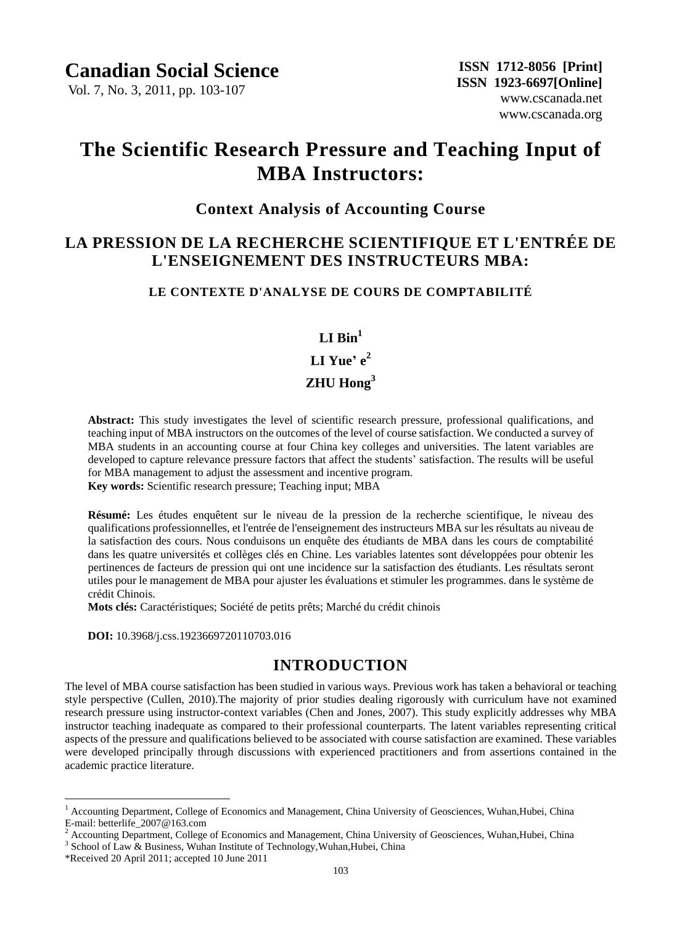Vol. 7, No. 3, 2011, pp. 103-107

# **The [Scientific Research Pressure](javascript:showjdsw() and Teaching Input of [MBA](javascript:showjdsw() [Instructors:](javascript:showjdsw()**

# **Context Analysis of Accounting Course**

# **LA PRESSION DE LA RECHERCHE SCIENTIFIQUE ET L'ENTRÉE DE L'ENSEIGNEMENT DES INSTRUCTEURS MBA:**

#### **LE CONTEXTE D'ANALYSE DE COURS DE COMPTABILITÉ**

#### $L$ **I**  $\text{Rin}^1$

# **LI Yue' e 2**

# **ZHU Hong<sup>3</sup>**

**Abstract:** This study investigates the level of scientific research pressure, professional qualifications, and teaching input of MBA instructors on the outcomes of the level of course satisfaction. We conducted a survey of MBA students in an accounting course at four China key colleges and universities. The latent variables are developed to capture relevance pressure factors that affect the students' satisfaction. The results will be useful for MBA management to adjust the assessment and incentive program.

**Key words:** Scientific research pressure; Teaching input; [MBA](javascript:showjdsw()

Résumé: Les études enquêtent sur le niveau de la pression de la recherche scientifique, le niveau des qualifications professionnelles, et l'entrée de l'enseignement des instructeurs MBA sur les résultats au niveau de la satisfaction des cours. Nous conduisons un enquête des étudiants de MBA dans les cours de comptabilité dans les quatre universités et collèges clés en Chine. Les variables latentes sont développées pour obtenir les pertinences de facteurs de pression qui ont une incidence sur la satisfaction des étudiants. Les résultats seront utiles pour le management de MBA pour ajuster les évaluations et stimuler les programmes. dans le système de crédit Chinois.

Mots cl és: Caract éristiques; Soci été de petits prêts; Marché du crédit chinois

 **DOI:** 10.3968/j.css.1923669720110703.016

# **INTRODUCTION**

The level of MBA course satisfaction has been studied in various ways. Previous work has taken a behavioral or teaching style perspective (Cullen, 2010).The majority of prior studies dealing rigorously with curriculum have not examined research pressure using instructor-context variables (Chen and Jones, 2007). This study explicitly addresses why MBA instructor teaching inadequate as compared to their professional counterparts. The latent variables representing critical aspects of the pressure and qualifications believed to be associated with course satisfaction are examined. These variables were developed principally through discussions with experienced practitioners and from assertions contained in the academic practice literature.

 $\overline{a}$ 

 $<sup>1</sup>$  Accounting Department, College of Economics and Management, China University of Geosciences, Wuhan, Hubei, China</sup> E-mail: betterlife\_2007@163.com

<sup>&</sup>lt;sup>2</sup> Accounting Department, College of Economics and Management, China University of Geosciences, Wuhan,Hubei, China

 $3$  School of Law  $\&$  Business, Wuhan Institute of Technology, Wuhan, Hubei, China

<sup>\*</sup>Received 20 April 2011; accepted 10 June 2011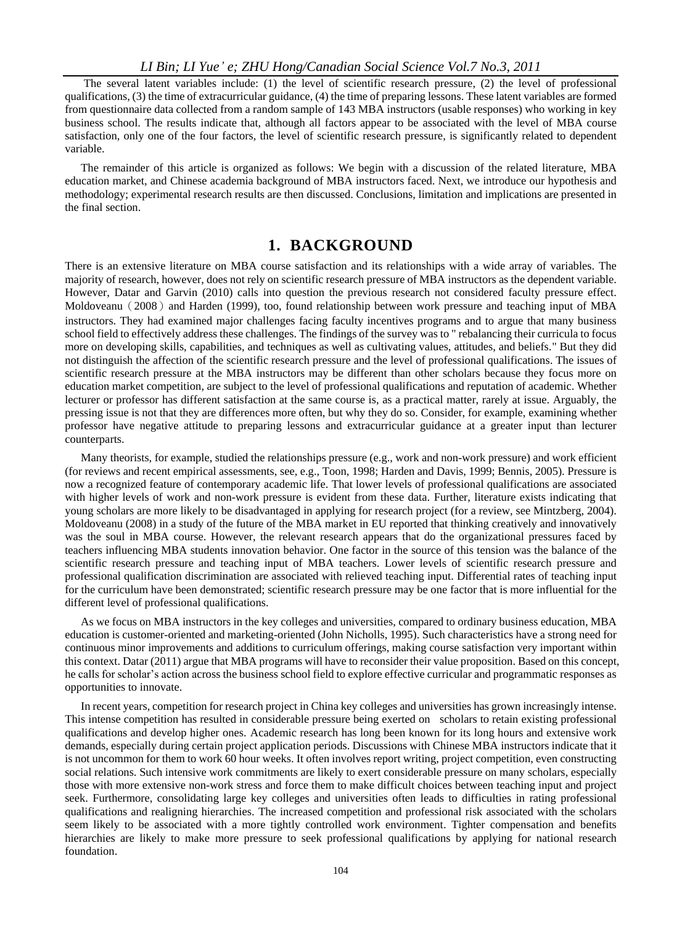The several latent variables include: (1) the level of scientific research pressure, (2) the level of professional qualifications, (3) the time of extracurricular guidance, (4) the time of preparing lessons. These latent variables are formed from questionnaire data collected from a random sample of 143 MBA instructors (usable responses) who working in key business school. The results indicate that, although all factors appear to be associated with the level of MBA course satisfaction, only one of the four factors, the level of scientific research pressure, is significantly related to dependent variable.

The remainder of this article is organized as follows: We begin with a discussion of the related literature, MBA education market, and Chinese academia background of MBA instructors faced. Next, we introduce our hypothesis and methodology; experimental research results are then discussed. Conclusions, limitation and implications are presented in the final section.

### **1. BACKGROUND**

There is an extensive literature on MBA course satisfaction and its relationships with a wide array of variables. The majority of research, however, does not rely on scientific research pressure of MBA instructors as the dependent variable. However, Datar and Garvin (2010) calls into question the previous research not considered faculty pressure effect. Moldoveanu (2008) and Harden (1999), too, found relationship between work pressure and teaching input of MBA instructors. They had examined major challenges facing faculty incentives programs and to argue that many business school field to effectively address these challenges. The findings of the survey was to " rebalancing their curricula to focus more on developing skills, capabilities, and techniques as well as cultivating values, attitudes, and beliefs." But they did not distinguish the affection of the scientific research pressure and the level of professional qualifications. The issues of scientific research pressure at the MBA instructors may be different than other scholars because they focus more on education market competition, are subject to the level of professional qualifications and reputation of academic. Whether lecturer or professor has different satisfaction at the same course is, as a practical matter, rarely at issue. Arguably, the pressing issue is not that they are differences more often, but why they do so. Consider, for example, examining whether professor have negative attitude to preparing lessons and extracurricular guidance at a greater input than lecturer counterparts.

Many theorists, for example, studied the relationships pressure (e.g., work and non-work pressure) and work efficient (for reviews and recent empirical assessments, see, e.g., Toon, 1998; Harden and Davis, 1999; Bennis, 2005). Pressure is now a recognized feature of contemporary academic life. That lower levels of professional qualifications are associated with higher levels of work and non-work pressure is evident from these data. Further, literature exists indicating that young scholars are more likely to be disadvantaged in applying for research project (for a review, see Mintzberg, 2004). Moldoveanu (2008) in a study of the future of the MBA market in EU reported that thinking creatively and innovatively was the soul in MBA course. However, the relevant research appears that do the organizational pressures faced by teachers influencing MBA students innovation behavior. One factor in the source of this tension was the balance of the scientific research pressure and teaching input of MBA teachers. Lower levels of scientific research pressure and professional qualification discrimination are associated with relieved teaching input. Differential rates of teaching input for the curriculum have been demonstrated; scientific research pressure may be one factor that is more influential for the different level of professional qualifications.

As we focus on MBA instructors in the key colleges and universities, compared to ordinary business education, MBA education is customer-oriented and marketing-oriented (John Nicholls, 1995). Such characteristics have a strong need for continuous minor improvements and additions to curriculum offerings, making course satisfaction very important within this context. Datar (2011) argue that MBA programs will have to reconsider their value proposition. Based on this concept, he calls for scholar's action across the business school field to explore effective curricular and programmatic responses as opportunities to innovate.

In recent years, competition for research project in China key colleges and universities has grown increasingly intense. This intense competition has resulted in considerable pressure being exerted on scholars to retain existing professional qualifications and develop higher ones. Academic research has long been known for its long hours and extensive work demands, especially during certain project application periods. Discussions with Chinese MBA instructors indicate that it is not uncommon for them to work 60 hour weeks. It often involves report writing, project competition, even constructing social relations. Such intensive work commitments are likely to exert considerable pressure on many scholars, especially those with more extensive non-work stress and force them to make difficult choices between teaching input and project seek. Furthermore, consolidating large key colleges and universities often leads to difficulties in rating professional qualifications and realigning hierarchies. The increased competition and professional risk associated with the scholars seem likely to be associated with a more tightly controlled work environment. Tighter compensation and benefits hierarchies are likely to make more pressure to seek professional qualifications by applying for national research foundation.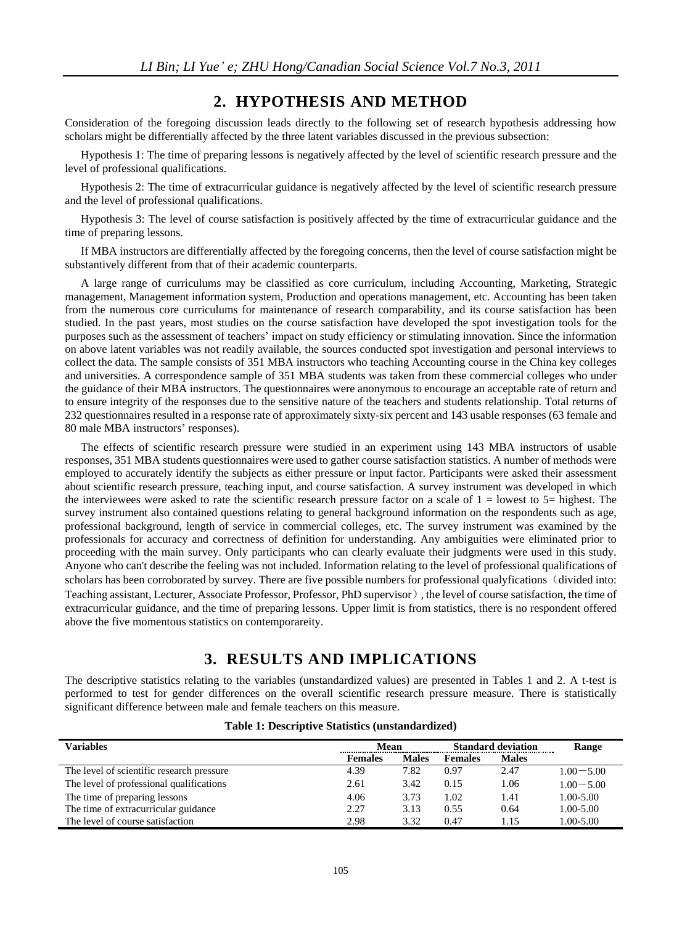# **2. HYPOTHESIS AND METHOD**

Consideration of the foregoing discussion leads directly to the following set of research hypothesis addressing how scholars might be differentially affected by the three latent variables discussed in the previous subsection:

Hypothesis 1: The time of preparing lessons is negatively affected by the level of scientific research pressure and the level of professional qualifications.

Hypothesis 2: The time of extracurricular guidance is negatively affected by the level of scientific research pressure and the level of professional qualifications.

Hypothesis 3: The level of course satisfaction is positively affected by the time of extracurricular guidance and the time of preparing lessons.

If MBA instructors are differentially affected by the foregoing concerns, then the level of course satisfaction might be substantively different from that of their academic counterparts.

A large range of curriculums may be classified as core curriculum, including Accounting, Marketing, Strategic management, Management information system, Production and operations management, etc. Accounting has been taken from the numerous core curriculums for [maintenance](javascript:showjdsw() of research comparability, and its course satisfaction has been studied. In the past years, most studies on the course satisfaction have developed the spot investigation tools for the purposes such as the assessment of teachers' impact on study efficiency or stimulating innovation. Since the information on above latent variables was not readily available, the sources conducted spot investigation and personal interviews to collect the data. The sample consists of 351 MBA instructors who teaching Accounting course in the China key colleges and universities. A correspondence sample of 351 MBA [students](javascript:showjdsw() was taken from these [commercial colleges](javascript:showjdsw() who under the guidance of their MBA instructors. The questionnaires were anonymous to encourage an acceptable rate of return and to ensure integrity of the responses due to the sensitive nature of the teachers and students relationship. Total returns of 232 questionnaires resulted in a response rate of approximately sixty-six percent and 143 usable responses (63 female and 80 male MBA instructors' responses).

The effects of scientific research pressure were studied in an experiment using 143 MBA instructors of usable responses, 351 MBA [students](javascript:showjdsw() questionnaires were used to gather course satisfaction statistics. A number of methods were employed to accurately identify the subjects as either pressure or input factor. Participants were asked their assessment about scientific research pressure, teaching input, and course satisfaction. A survey instrument was developed in which the interviewees were asked to rate the scientific research pressure factor on a scale of  $1 =$  lowest to  $5=$  highest. The survey instrument also contained questions relating to general background information on the respondents such as age, professional background, length of service in [commercial colleges](javascript:showjdsw(), etc. The survey instrument was examined by the professionals for accuracy and correctness of definition for understanding. Any ambiguities were eliminated prior to proceeding with the main survey. Only participants who can clearly evaluate their judgments were used in this study. Anyone who can't describe the feeling was not included. Information relating to the level of professional qualifications of scholars has been corroborated by survey. There are five possible numbers for professional qualyfications (divided into: Teaching assistant, Lecturer, Associate Professor, Professor, PhD supervisor), the level of course satisfaction, the time of extracurricular guidance, and the time of preparing lessons. Upper limit is from statistics, there is no respondent offered above the five [momentous](http://dict.cnki.net/dict_result.aspx?searchword=%e9%87%8d%e5%a4%a7%e7%9a%84&tjType=sentence&style=&t=momentous) statistics on contemporareity.

# **3. RESULTS AND IMPLICATIONS**

The descriptive statistics relating to the variables (unstandardized values) are presented in Tables 1 and 2. A t-test is performed to test for gender differences on the overall scientific research pressure measure. There is statistically significant difference between male and female teachers on this measure.

| Variables                                 | Mean           |              | <b>Standard deviation</b> |              | Range         |
|-------------------------------------------|----------------|--------------|---------------------------|--------------|---------------|
|                                           | <b>Females</b> | <b>Males</b> | <b>Females</b>            | <b>Males</b> |               |
| The level of scientific research pressure | 4.39           | 7.82         | 0.97                      | 2.47         | $1.00 - 5.00$ |
| The level of professional qualifications  | 2.61           | 3.42         | 0.15                      | 1.06         | $1.00 - 5.00$ |
| The time of preparing lessons             | 4.06           | 3.73         | 1.02                      | 1.41         | 1.00-5.00     |
| The time of extracurricular guidance      | 2.27           | 3.13         | 0.55                      | 0.64         | 1.00-5.00     |
| The level of course satisfaction          | 2.98           | 3.32         | 0.47                      | 1.15         | 1.00-5.00     |

|  |  |  | Table 1: Descriptive Statistics (unstandardized) |
|--|--|--|--------------------------------------------------|
|--|--|--|--------------------------------------------------|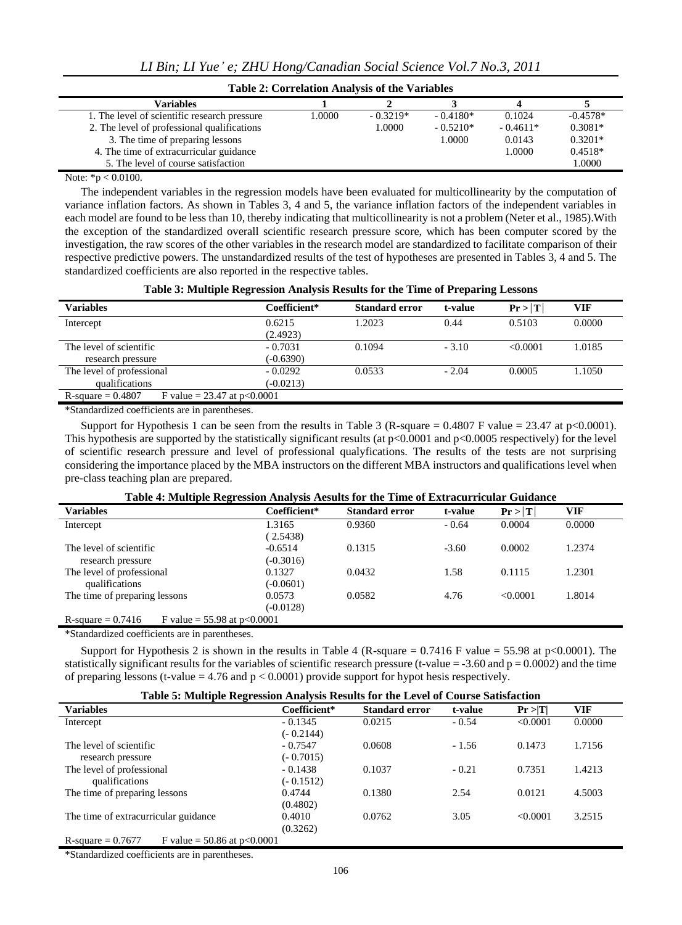| <b>Table 2: Correlation Analysis of the Variables</b> |       |            |            |            |            |  |  |
|-------------------------------------------------------|-------|------------|------------|------------|------------|--|--|
| Variables                                             |       |            |            |            |            |  |  |
| 1. The level of scientific research pressure          | .0000 | $-0.3219*$ | $-0.4180*$ | 0.1024     | $-0.4578*$ |  |  |
| 2. The level of professional qualifications           |       | 1.0000     | $-0.5210*$ | $-0.4611*$ | $0.3081*$  |  |  |
| 3. The time of preparing lessons                      |       |            | 1.0000     | 0.0143     | $0.3201*$  |  |  |
| 4. The time of extracurricular guidance               |       |            |            | 1.0000     | $0.4518*$  |  |  |
| 5. The level of course satisfaction                   |       |            |            |            | 1.0000     |  |  |

Note: \*p < 0.0100.

The independent variables in the regression models have been evaluated for multicollinearity by the computation of variance inflation factors. As shown in Tables 3, 4 and 5, the variance inflation factors of the independent variables in each model are found to be less than 10, thereby indicating that multicollinearity is not a problem (Neter et al., 1985).With the exception of the standardized overall scientific research pressure score, which has been computer scored by the investigation, the raw scores of the other variables in the research model are standardized to facilitate comparison of their respective predictive powers. The unstandardized results of the test of hypotheses are presented in Tables 3, 4 and 5. The standardized coefficients are also reported in the respective tables.

| Table 3: Multiple Regression Analysis Results for the Time of Preparing Lessons |  |  |  |  |  |  |
|---------------------------------------------------------------------------------|--|--|--|--|--|--|
|---------------------------------------------------------------------------------|--|--|--|--|--|--|

| Variables                                             | Coefficient* | <b>Standard error</b> | t-value | Pr >  T  | VIF    |
|-------------------------------------------------------|--------------|-----------------------|---------|----------|--------|
| Intercept                                             | 0.6215       | 1.2023                | 0.44    | 0.5103   | 0.0000 |
|                                                       | (2.4923)     |                       |         |          |        |
| The level of scientific                               | $-0.7031$    | 0.1094                | $-3.10$ | < 0.0001 | 1.0185 |
| research pressure                                     | $(-0.6390)$  |                       |         |          |        |
| The level of professional                             | $-0.0292$    | 0.0533                | $-2.04$ | 0.0005   | 1.1050 |
| qualifications                                        | $(-0.0213)$  |                       |         |          |        |
| F value = $23.47$ at p<0.0001<br>$R$ -square = 0.4807 |              |                       |         |          |        |

\*Standardized coefficients are in parentheses.

Support for Hypothesis 1 can be seen from the results in Table 3 (R-square =  $0.4807$  F value =  $23.47$  at p $< 0.0001$ ). This hypothesis are supported by the statistically significant results (at  $p<0.0001$  and  $p<0.0005$  respectively) for the level of scientific research pressure and level of professional qualyfications. The results of the tests are not surprising considering the importance placed by the MBA instructors on the different MBA instructors and qualifications level when pre-class teaching plan are prepared.

|  | Table 4: Multiple Regression Analysis Aesults for the Time of Extracurricular Guidance |  |
|--|----------------------------------------------------------------------------------------|--|
|--|----------------------------------------------------------------------------------------|--|

| <b>Variables</b>                                      | Coefficient* | <b>Standard error</b> | t-value | Pr >  T  | <b>VIF</b> |  |  |
|-------------------------------------------------------|--------------|-----------------------|---------|----------|------------|--|--|
| Intercept                                             | 1.3165       | 0.9360                | $-0.64$ | 0.0004   | 0.0000     |  |  |
|                                                       | (2.5438)     |                       |         |          |            |  |  |
| The level of scientific                               | $-0.6514$    | 0.1315                | $-3.60$ | 0.0002   | 1.2374     |  |  |
| research pressure                                     | $(-0.3016)$  |                       |         |          |            |  |  |
| The level of professional                             | 0.1327       | 0.0432                | 1.58    | 0.1115   | 1.2301     |  |  |
| qualifications                                        | $(-0.0601)$  |                       |         |          |            |  |  |
| The time of preparing lessons                         | 0.0573       | 0.0582                | 4.76    | < 0.0001 | 1.8014     |  |  |
|                                                       | $(-0.0128)$  |                       |         |          |            |  |  |
| $R$ -square = 0.7416<br>F value = $55.98$ at p<0.0001 |              |                       |         |          |            |  |  |

\*Standardized coefficients are in parentheses.

Support for Hypothesis 2 is shown in the results in Table 4 (R-square  $= 0.7416$  F value  $= 55.98$  at p<0.0001). The statistically significant results for the variables of scientific research pressure (t-value  $=$  -3.60 and  $p = 0.0002$ ) and the time of preparing lessons (t-value  $= 4.76$  and  $p < 0.0001$ ) provide support for hypot hesis respectively.

| Table 5: Multiple Regression Analysis Results for the Level of Course Satisfaction |  |  |
|------------------------------------------------------------------------------------|--|--|
|------------------------------------------------------------------------------------|--|--|

| Tubic of mumple inequalitation mumples incomes for the liever of course summemon |              |                       |         |          |        |  |  |
|----------------------------------------------------------------------------------|--------------|-----------------------|---------|----------|--------|--|--|
| <b>Variables</b>                                                                 | Coefficient* | <b>Standard error</b> | t-value | Pr >  T  | VIF    |  |  |
| Intercept                                                                        | $-0.1345$    | 0.0215                | $-0.54$ | < 0.0001 | 0.0000 |  |  |
|                                                                                  | $(-0.2144)$  |                       |         |          |        |  |  |
| The level of scientific                                                          | $-0.7547$    | 0.0608                | $-1.56$ | 0.1473   | 1.7156 |  |  |
| research pressure                                                                | $(-0.7015)$  |                       |         |          |        |  |  |
| The level of professional                                                        | $-0.1438$    | 0.1037                | $-0.21$ | 0.7351   | 1.4213 |  |  |
| qualifications                                                                   | $(-0.1512)$  |                       |         |          |        |  |  |
| The time of preparing lessons                                                    | 0.4744       | 0.1380                | 2.54    | 0.0121   | 4.5003 |  |  |
|                                                                                  | (0.4802)     |                       |         |          |        |  |  |
| The time of extracurricular guidance                                             | 0.4010       | 0.0762                | 3.05    | < 0.0001 | 3.2515 |  |  |
|                                                                                  | (0.3262)     |                       |         |          |        |  |  |
| F value = $50.86$ at p<0.0001<br>R-square $= 0.7677$                             |              |                       |         |          |        |  |  |

\*Standardized coefficients are in parentheses.